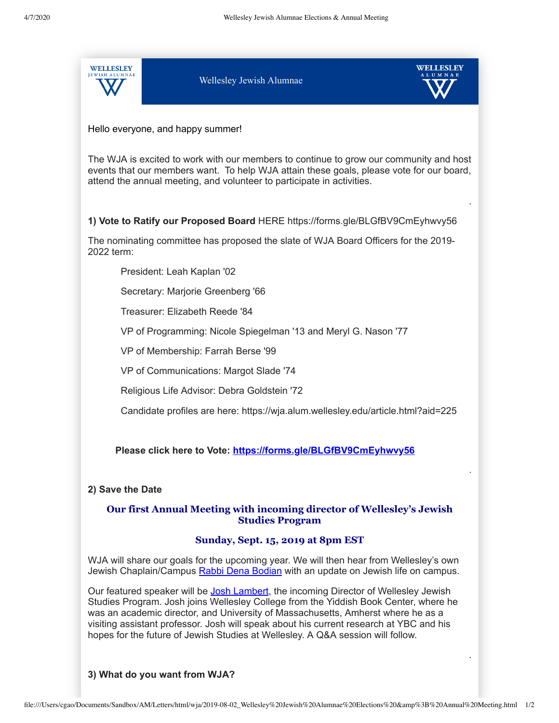

Hello everyone, and happy summer!

The WJA is excited to work with our members to continue to grow our community and host events that our members want. To help WJA attain these goals, please vote for our board, attend the annual meeting, and volunteer to participate in activities.

.

.

.

**1) Vote to Ratify our Proposed Board** HERE https://forms.gle/BLGfBV9CmEyhwvy56

The nominating committee has proposed the slate of WJA Board Officers for the 2019- 2022 term:

President: Leah Kaplan '02

Secretary: Marjorie Greenberg '66

Treasurer: Elizabeth Reede '84

VP of Programming: Nicole Spiegelman '13 and Meryl G. Nason '77

VP of Membership: Farrah Berse '99

VP of Communications: Margot Slade '74

Religious Life Advisor: Debra Goldstein '72

Candidate profiles are here: https://wja.alum.wellesley.edu/article.html?aid=225

**Please click here to Vote:<https://forms.gle/BLGfBV9CmEyhwvy56>**

### **2) Save the Date**

# **Our first Annual Meeting with incoming director of Wellesley's Jewish Studies Program**

## **Sunday, Sept. 15, 2019 at 8pm EST**

WJA will share our goals for the upcoming year. We will then hear from Wellesley's own Jewish Chaplain/Campus [Rabbi Dena Bodian](https://www.wellesley.edu/religiouslife/chaplaincies/jewish-chaplaincy/hillel-rabbi/node/155401) with an update on Jewish life on campus.

Our featured speaker will be [Josh Lambert](https://www.yiddishbookcenter.org/collections/oral-histories/interviews/woh-fi-0000350/joshua-lambert-2012), the incoming Director of Wellesley Jewish Studies Program. Josh joins Wellesley College from the Yiddish Book Center, where he was an academic director, and University of Massachusetts, Amherst where he as a visiting assistant professor. Josh will speak about his current research at YBC and his hopes for the future of Jewish Studies at Wellesley. A Q&A session will follow.

## **3) What do you want from WJA?**